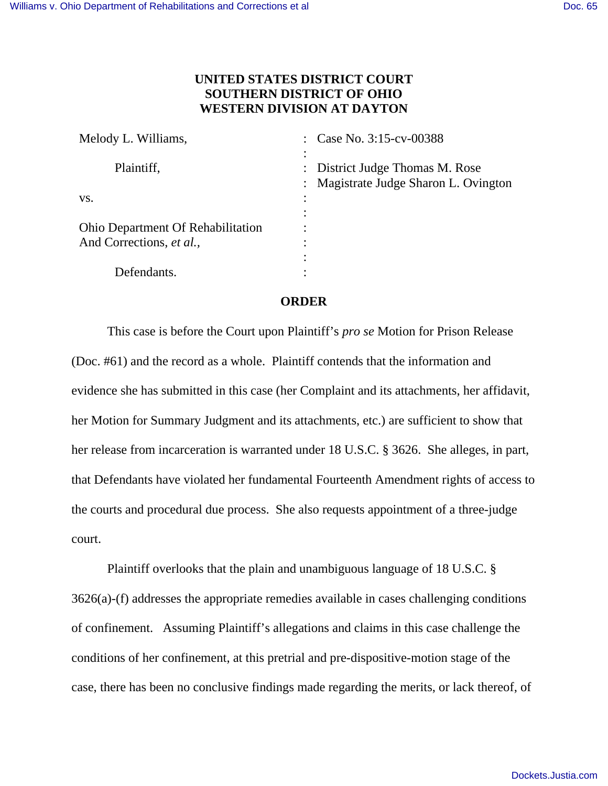## **UNITED STATES DISTRICT COURT SOUTHERN DISTRICT OF OHIO WESTERN DIVISION AT DAYTON**

| Melody L. Williams,                      | Case No. 3:15-cv-00388                                               |
|------------------------------------------|----------------------------------------------------------------------|
| Plaintiff,                               | District Judge Thomas M. Rose<br>Magistrate Judge Sharon L. Ovington |
| VS.                                      | ٠                                                                    |
| <b>Ohio Department Of Rehabilitation</b> |                                                                      |
| And Corrections, et al.,                 | ٠<br>٠                                                               |
| Defendants.                              |                                                                      |

## **ORDER**

 This case is before the Court upon Plaintiff's *pro se* Motion for Prison Release (Doc. #61) and the record as a whole. Plaintiff contends that the information and evidence she has submitted in this case (her Complaint and its attachments, her affidavit, her Motion for Summary Judgment and its attachments, etc.) are sufficient to show that her release from incarceration is warranted under 18 U.S.C. § 3626. She alleges, in part, that Defendants have violated her fundamental Fourteenth Amendment rights of access to the courts and procedural due process. She also requests appointment of a three-judge court.

 Plaintiff overlooks that the plain and unambiguous language of 18 U.S.C. § 3626(a)-(f) addresses the appropriate remedies available in cases challenging conditions of confinement. Assuming Plaintiff's allegations and claims in this case challenge the conditions of her confinement, at this pretrial and pre-dispositive-motion stage of the case, there has been no conclusive findings made regarding the merits, or lack thereof, of